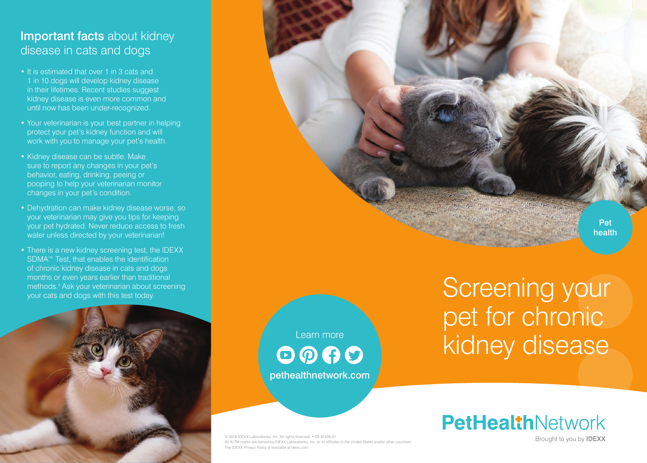# Important facts about kidney disease in cats and dogs

- It is estimated that over 1 in 3 cats and 1 in 10 dogs will develop kidney disease in their lifetimes. Recent studies suggest kidney disease is even more common and until now has been under-recognized.
- Your veterinarian is your best partner in helping protect your pet's kidney function and will work with you to manage your pet's health.
- Kidney disease can be subtle. Make sure to report any changes in your pet's behavior, eating, drinking, peeing or pooping to help your veterinarian monitor changes in your pet's condition.
- Dehydration can make kidney disease worse, so your veterinarian may give you tips for keeping your pet hydrated. Never reduce access to fresh water unless directed by your veterinarian!
- There is a new kidney screening test, the IDEXX SDMA<sup>™</sup> Test, that enables the identification of chronic kidney disease in cats and dogs months or even years earlier than traditional methods.4 Ask your veterinarian about screening



Learn more  $\odot$   $\odot$   $\odot$ pethealthnetwork.com

© 2016 IDEXX Laboratories, Inc. All rights reserved. • 09-81428-01 All ®/TM marks are owned by IDEXX Laboratories, Inc. or its affiliates in the United States and/or other countries The IDEXX Privacy Policy is available at idexx.com.

Montris of even years earlier than traditional<br>
your cats and dogs with this test today.<br>
your cats and dogs with this test today. pet for chronic kidney disease



Brought to you by **IDEXX** 

**Pet** health